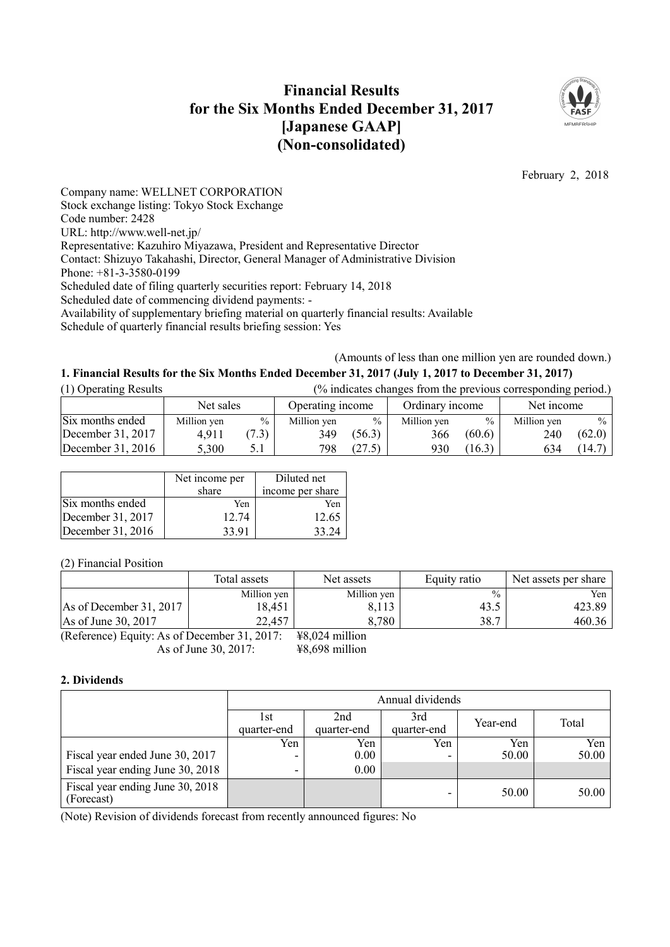# **Financial Results for the Six Months Ended December 31, 2017 [Japanese GAAP] (Non-consolidated)**



February 2, 2018

Company name: WELLNET CORPORATION Stock exchange listing: Tokyo Stock Exchange Code number: 2428 URL: http://www.well-net.jp/ Representative: Kazuhiro Miyazawa, President and Representative Director Contact: Shizuyo Takahashi, Director, General Manager of Administrative Division Phone: +81-3-3580-0199 Scheduled date of filing quarterly securities report: February 14, 2018 Scheduled date of commencing dividend payments: - Availability of supplementary briefing material on quarterly financial results: Available Schedule of quarterly financial results briefing session: Yes

(Amounts of less than one million yen are rounded down.)

# 1. Financial Results for the Six Months Ended December 31, 2017 (July 1, 2017 to December 31, 2017)

| (1) Operating Results | (% indicates changes from the previous corresponding period.) |       |                  |               |                 |               |             |        |
|-----------------------|---------------------------------------------------------------|-------|------------------|---------------|-----------------|---------------|-------------|--------|
|                       | Net sales                                                     |       | Operating income |               | Ordinary income |               | Net income  |        |
| Six months ended      | Million yen                                                   | $\%$  | Million yen      | $\frac{0}{0}$ | Million yen     | $\frac{0}{0}$ | Million yen | $\%$   |
| December 31, 2017     | 4.911                                                         | (7.3) | 349              | (56.3)        | 366             | (60.6)        | 240         | (62.0) |
| December $31, 2016$   | 5,300                                                         |       | 798              | (27.5)        | 930             | (16.3)        | 634         | (14.7) |

|                   | Net income per<br>share | Diluted net<br>income per share |
|-------------------|-------------------------|---------------------------------|
| Six months ended  | Yen                     | Yen                             |
| December 31, 2017 | 12.74                   | 12.65                           |
| December 31, 2016 | 33.91                   | 33.24                           |

(2) Financial Position

|                                               | Total assets | Net assets       | Equity ratio  | Net assets per share |
|-----------------------------------------------|--------------|------------------|---------------|----------------------|
|                                               | Million yen  | Million yen      | $\frac{0}{0}$ | Yen                  |
| As of December 31, 2017                       | 18,451       | 8,113            | 43.5          | 423.89               |
| As of June 30, 2017                           | 22,457       | 8,780            | 38.7          | 460.36               |
| $(Deforone)$ Equity: As of December 21, 2017. |              | $VQ$ 024 million |               |                      |

(Reference) Equity: As of December 31, 2017: ¥8,024 million As of June 30, 2017: ¥8,698 million

## **2. Dividends**

|                                                | Annual dividends    |          |     |       |       |  |  |
|------------------------------------------------|---------------------|----------|-----|-------|-------|--|--|
|                                                | l st<br>quarter-end | Total    |     |       |       |  |  |
|                                                | Yen                 | Yen      | Yen | Yen   | Yen   |  |  |
| Fiscal year ended June 30, 2017                | -                   | $0.00\,$ |     | 50.00 | 50.00 |  |  |
| Fiscal year ending June 30, 2018               | $\blacksquare$      | 0.00     |     |       |       |  |  |
| Fiscal year ending June 30, 2018<br>(Forecast) |                     |          |     | 50.00 | 50.00 |  |  |

(Note) Revision of dividends forecast from recently announced figures: No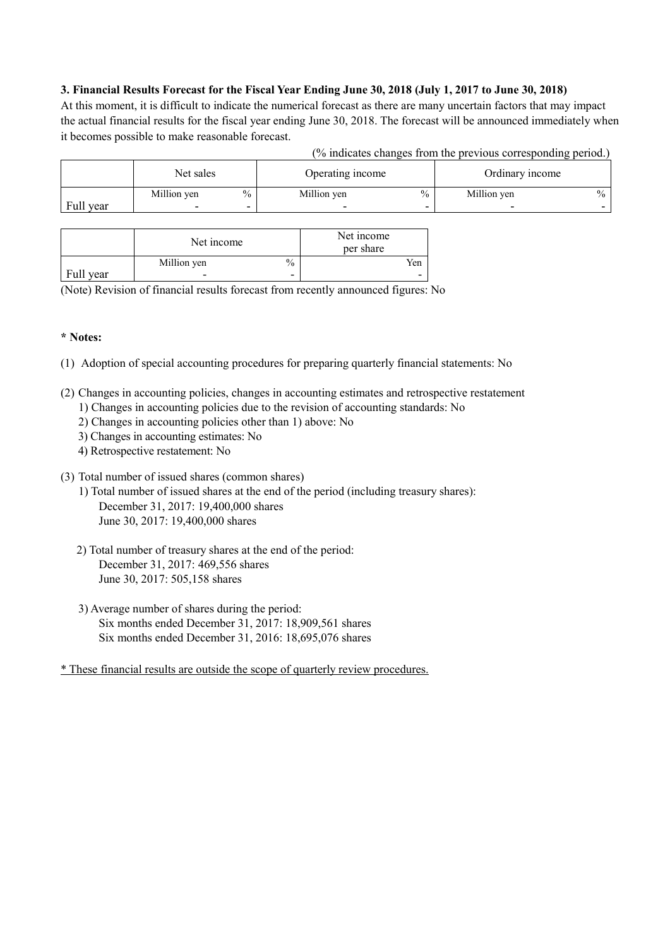# 3. Financial Results Forecast for the Fiscal Year Ending June 30, 2018 (July 1, 2017 to June 30, 2018)

At this moment, it is difficult to indicate the numerical forecast as there are many uncertain factors that may impact the actual financial results for the fiscal year ending June 30, 2018. The forecast will be announced immediately when it becomes possible to make reasonable forecast.

| (% indicates changes from the previous corresponding period.) |  |  |
|---------------------------------------------------------------|--|--|
|                                                               |  |  |

|           | Net sales   |               | Operating income |               | Ordinary income |  |
|-----------|-------------|---------------|------------------|---------------|-----------------|--|
|           | Million yen | $\frac{0}{0}$ | Million yen      | $\frac{0}{0}$ | Million yen     |  |
| Full year |             | ٠             |                  |               |                 |  |

|           | Net income               | Net income<br>per share |     |
|-----------|--------------------------|-------------------------|-----|
|           | Million yen              | $\%$                    | Yen |
| Full year | $\overline{\phantom{0}}$ | -                       | -   |

(Note) Revision of financial results forecast from recently announced figures: No

## **\* Notes:**

- (1) Adoption of special accounting procedures for preparing quarterly financial statements: No
- (2) Changes in accounting policies, changes in accounting estimates and retrospective restatement
	- 1) Changes in accounting policies due to the revision of accounting standards: No
	- 2) Changes in accounting policies other than 1) above: No
	- 3) Changes in accounting estimates: No
	- 4) Retrospective restatement: No
- (3) Total number of issued shares (common shares)
	- 1) Total number of issued shares at the end of the period (including treasury shares): December 31, 2017: 19,400,000 shares June 30, 2017: 19,400,000 shares
	- 2) Total number of treasury shares at the end of the period: December 31, 2017: 469,556 shares June 30, 2017: 505,158 shares
	- 3) Average number of shares during the period: Six months ended December 31, 2017: 18,909,561 shares Six months ended December 31, 2016: 18,695,076 shares

\* These financial results are outside the scope of quarterly review procedures.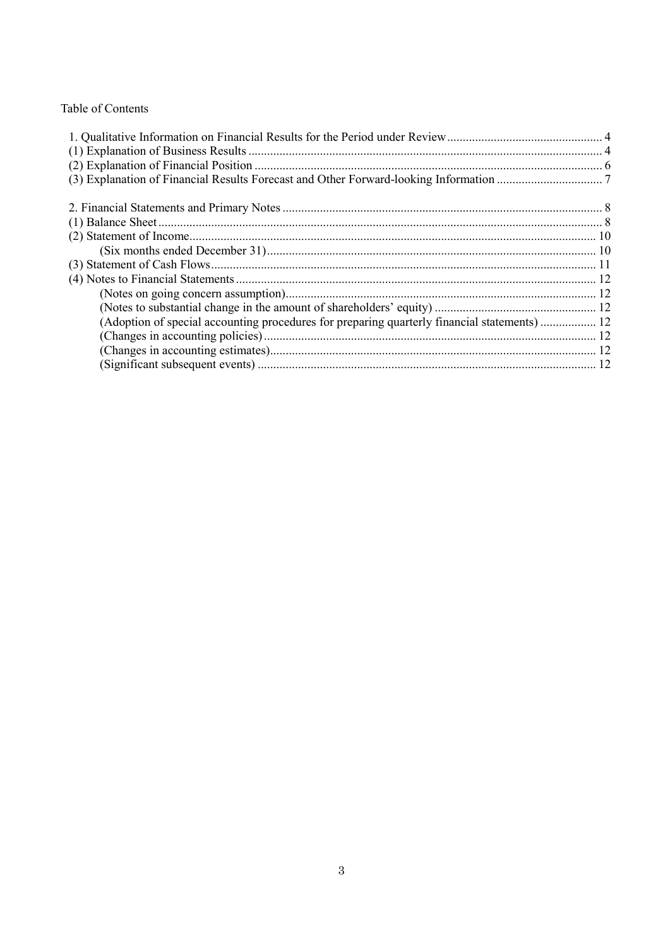# Table of Contents

| (Adoption of special accounting procedures for preparing quarterly financial statements) 12 |  |
|---------------------------------------------------------------------------------------------|--|
|                                                                                             |  |
|                                                                                             |  |
|                                                                                             |  |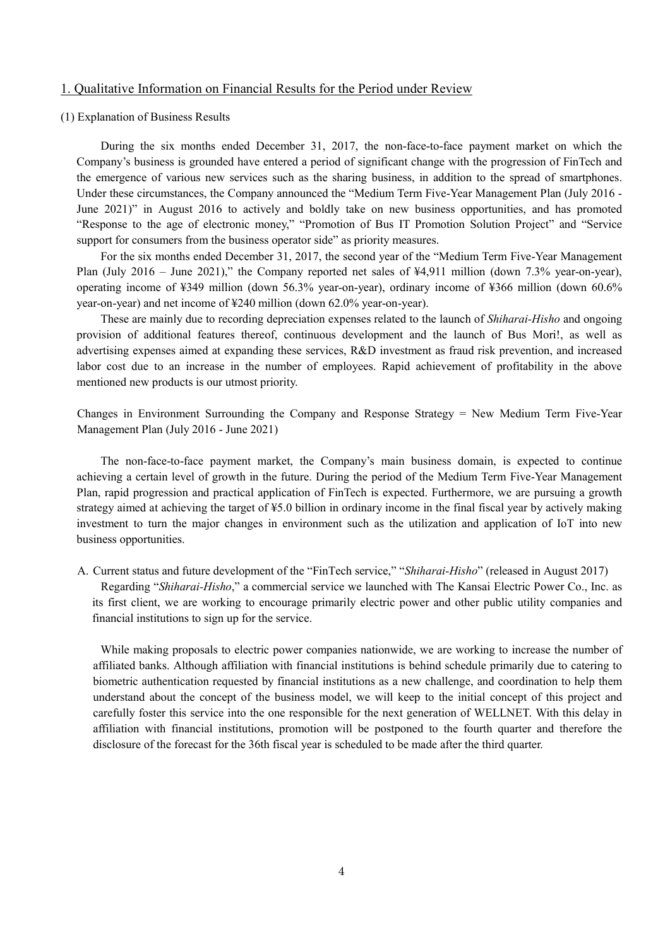#### 1. Qualitative Information on Financial Results for the Period under Review

#### (1) Explanation of Business Results

During the six months ended December 31, 2017, the non-face-to-face payment market on which the Company's business is grounded have entered a period of significant change with the progression of FinTech and the emergence of various new services such as the sharing business, in addition to the spread of smartphones. Under these circumstances, the Company announced the "Medium Term Five-Year Management Plan (July 2016 - June 2021)" in August 2016 to actively and boldly take on new business opportunities, and has promoted "Response to the age of electronic money," "Promotion of Bus IT Promotion Solution Project" and "Service support for consumers from the business operator side" as priority measures.

For the six months ended December 31, 2017, the second year of the "Medium Term Five-Year Management Plan (July 2016 – June 2021)," the Company reported net sales of ¥4,911 million (down 7.3% year-on-year), operating income of ¥349 million (down 56.3% year-on-year), ordinary income of ¥366 million (down 60.6% year-on-year) and net income of ¥240 million (down 62.0% year-on-year).

These are mainly due to recording depreciation expenses related to the launch of *Shiharai-Hisho* and ongoing provision of additional features thereof, continuous development and the launch of Bus Mori!, as well as advertising expenses aimed at expanding these services, R&D investment as fraud risk prevention, and increased labor cost due to an increase in the number of employees. Rapid achievement of profitability in the above mentioned new products is our utmost priority.

Changes in Environment Surrounding the Company and Response Strategy = New Medium Term Five-Year Management Plan (July 2016 - June 2021)

The non-face-to-face payment market, the Company's main business domain, is expected to continue achieving a certain level of growth in the future. During the period of the Medium Term Five-Year Management Plan, rapid progression and practical application of FinTech is expected. Furthermore, we are pursuing a growth strategy aimed at achieving the target of ¥5.0 billion in ordinary income in the final fiscal year by actively making investment to turn the major changes in environment such as the utilization and application of IoT into new business opportunities.

A. Current status and future development of the "FinTech service," "*Shiharai-Hisho*" (released in August 2017) Regarding "*Shiharai-Hisho*," a commercial service we launched with The Kansai Electric Power Co., Inc. as its first client, we are working to encourage primarily electric power and other public utility companies and financial institutions to sign up for the service.

While making proposals to electric power companies nationwide, we are working to increase the number of affiliated banks. Although affiliation with financial institutions is behind schedule primarily due to catering to biometric authentication requested by financial institutions as a new challenge, and coordination to help them understand about the concept of the business model, we will keep to the initial concept of this project and carefully foster this service into the one responsible for the next generation of WELLNET. With this delay in affiliation with financial institutions, promotion will be postponed to the fourth quarter and therefore the disclosure of the forecast for the 36th fiscal year is scheduled to be made after the third quarter.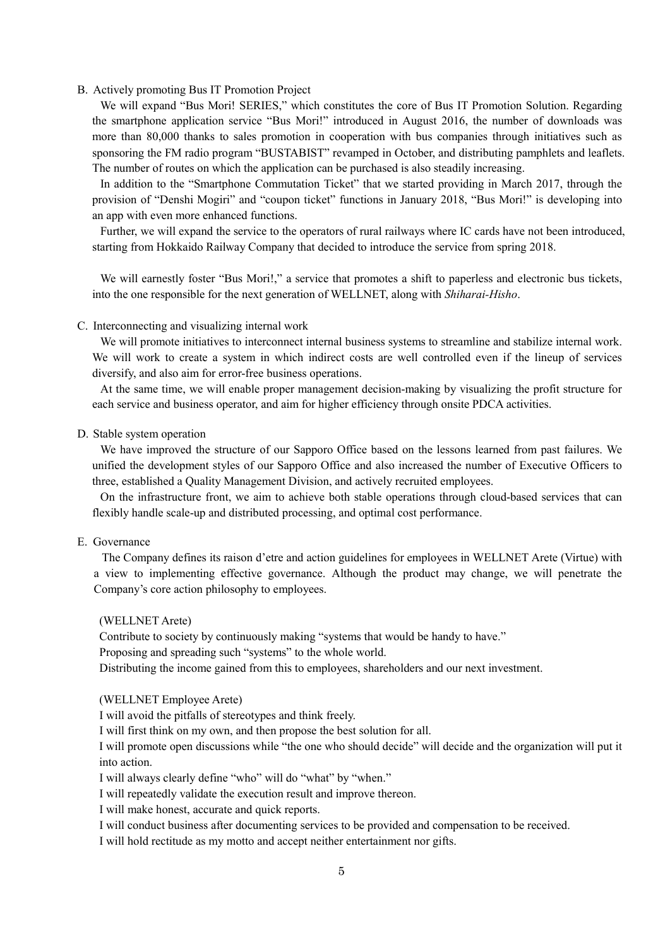#### B. Actively promoting Bus IT Promotion Project

We will expand "Bus Mori! SERIES," which constitutes the core of Bus IT Promotion Solution. Regarding the smartphone application service "Bus Mori!" introduced in August 2016, the number of downloads was more than 80,000 thanks to sales promotion in cooperation with bus companies through initiatives such as sponsoring the FM radio program "BUSTABIST" revamped in October, and distributing pamphlets and leaflets. The number of routes on which the application can be purchased is also steadily increasing.

In addition to the "Smartphone Commutation Ticket" that we started providing in March 2017, through the provision of "Denshi Mogiri" and "coupon ticket" functions in January 2018, "Bus Mori!" is developing into an app with even more enhanced functions.

Further, we will expand the service to the operators of rural railways where IC cards have not been introduced, starting from Hokkaido Railway Company that decided to introduce the service from spring 2018.

We will earnestly foster "Bus Mori!," a service that promotes a shift to paperless and electronic bus tickets, into the one responsible for the next generation of WELLNET, along with *Shiharai-Hisho*.

#### C. Interconnecting and visualizing internal work

We will promote initiatives to interconnect internal business systems to streamline and stabilize internal work. We will work to create a system in which indirect costs are well controlled even if the lineup of services diversify, and also aim for error-free business operations.

At the same time, we will enable proper management decision-making by visualizing the profit structure for each service and business operator, and aim for higher efficiency through onsite PDCA activities.

#### D. Stable system operation

We have improved the structure of our Sapporo Office based on the lessons learned from past failures. We unified the development styles of our Sapporo Office and also increased the number of Executive Officers to three, established a Quality Management Division, and actively recruited employees.

On the infrastructure front, we aim to achieve both stable operations through cloud-based services that can flexibly handle scale-up and distributed processing, and optimal cost performance.

## E. Governance

The Company defines its raison d'etre and action guidelines for employees in WELLNET Arete (Virtue) with a view to implementing effective governance. Although the product may change, we will penetrate the Company's core action philosophy to employees.

(WELLNET Arete)

Contribute to society by continuously making "systems that would be handy to have."

Proposing and spreading such "systems" to the whole world.

Distributing the income gained from this to employees, shareholders and our next investment.

(WELLNET Employee Arete)

I will avoid the pitfalls of stereotypes and think freely.

I will first think on my own, and then propose the best solution for all.

I will promote open discussions while "the one who should decide" will decide and the organization will put it into action.

I will always clearly define "who" will do "what" by "when."

I will repeatedly validate the execution result and improve thereon.

I will make honest, accurate and quick reports.

I will conduct business after documenting services to be provided and compensation to be received.

I will hold rectitude as my motto and accept neither entertainment nor gifts.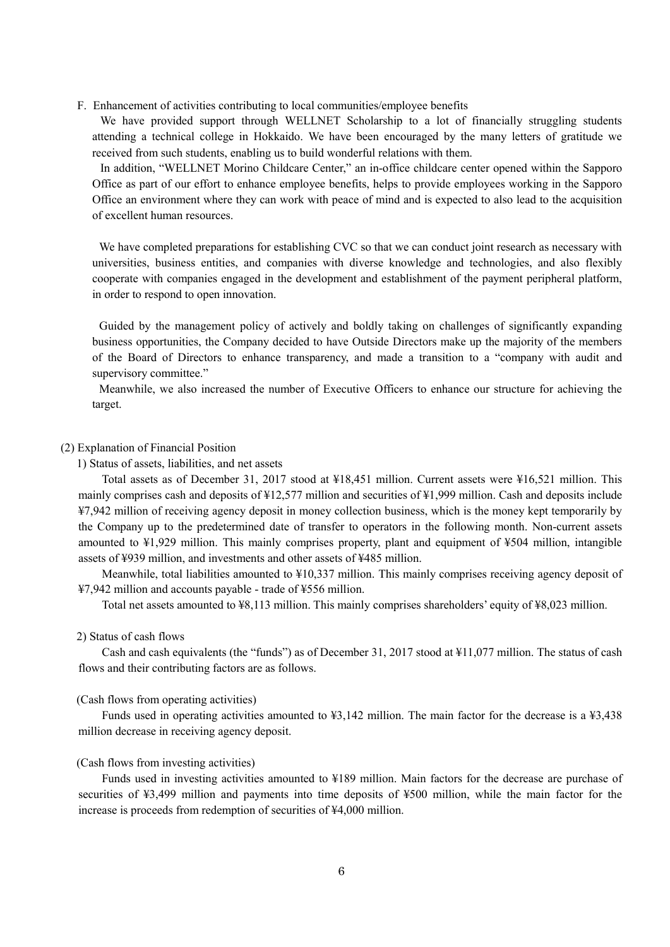F. Enhancement of activities contributing to local communities/employee benefits

We have provided support through WELLNET Scholarship to a lot of financially struggling students attending a technical college in Hokkaido. We have been encouraged by the many letters of gratitude we received from such students, enabling us to build wonderful relations with them.

In addition, "WELLNET Morino Childcare Center," an in-office childcare center opened within the Sapporo Office as part of our effort to enhance employee benefits, helps to provide employees working in the Sapporo Office an environment where they can work with peace of mind and is expected to also lead to the acquisition of excellent human resources.

We have completed preparations for establishing CVC so that we can conduct joint research as necessary with universities, business entities, and companies with diverse knowledge and technologies, and also flexibly cooperate with companies engaged in the development and establishment of the payment peripheral platform, in order to respond to open innovation.

Guided by the management policy of actively and boldly taking on challenges of significantly expanding business opportunities, the Company decided to have Outside Directors make up the majority of the members of the Board of Directors to enhance transparency, and made a transition to a "company with audit and supervisory committee."

Meanwhile, we also increased the number of Executive Officers to enhance our structure for achieving the target.

#### (2) Explanation of Financial Position

1) Status of assets, liabilities, and net assets

Total assets as of December 31, 2017 stood at ¥18,451 million. Current assets were ¥16,521 million. This mainly comprises cash and deposits of ¥12,577 million and securities of ¥1,999 million. Cash and deposits include ¥7,942 million of receiving agency deposit in money collection business, which is the money kept temporarily by the Company up to the predetermined date of transfer to operators in the following month. Non-current assets amounted to ¥1,929 million. This mainly comprises property, plant and equipment of ¥504 million, intangible assets of ¥939 million, and investments and other assets of ¥485 million.

Meanwhile, total liabilities amounted to ¥10,337 million. This mainly comprises receiving agency deposit of ¥7,942 million and accounts payable - trade of ¥556 million.

Total net assets amounted to ¥8,113 million. This mainly comprises shareholders' equity of ¥8,023 million.

#### 2) Status of cash flows

Cash and cash equivalents (the "funds") as of December 31, 2017 stood at ¥11,077 million. The status of cash flows and their contributing factors are as follows.

#### (Cash flows from operating activities)

Funds used in operating activities amounted to ¥3,142 million. The main factor for the decrease is a ¥3,438 million decrease in receiving agency deposit.

#### (Cash flows from investing activities)

Funds used in investing activities amounted to ¥189 million. Main factors for the decrease are purchase of securities of ¥3,499 million and payments into time deposits of ¥500 million, while the main factor for the increase is proceeds from redemption of securities of ¥4,000 million.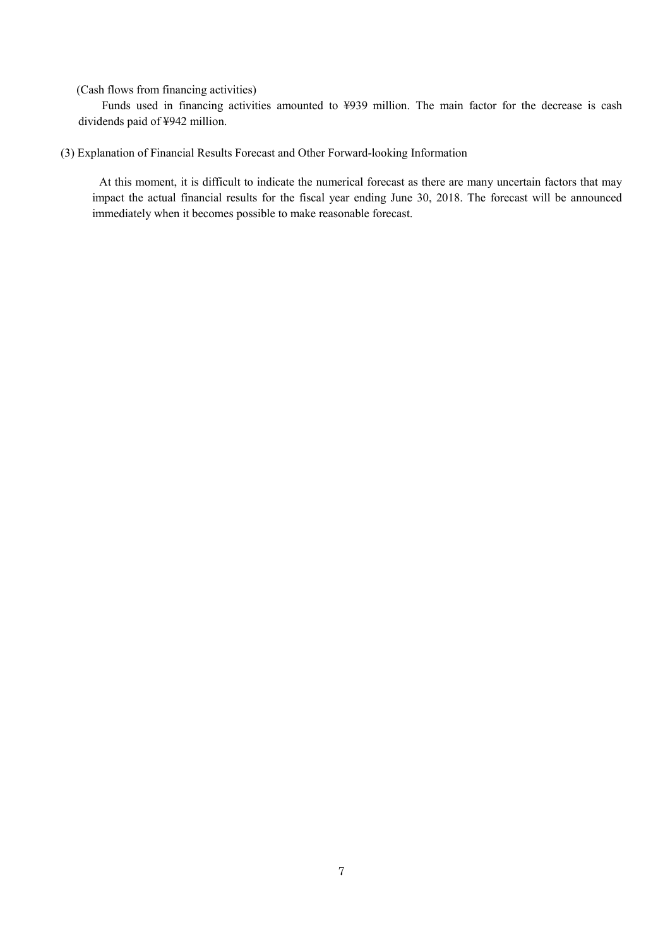(Cash flows from financing activities)

Funds used in financing activities amounted to ¥939 million. The main factor for the decrease is cash dividends paid of ¥942 million.

(3) Explanation of Financial Results Forecast and Other Forward-looking Information

At this moment, it is difficult to indicate the numerical forecast as there are many uncertain factors that may impact the actual financial results for the fiscal year ending June 30, 2018. The forecast will be announced immediately when it becomes possible to make reasonable forecast.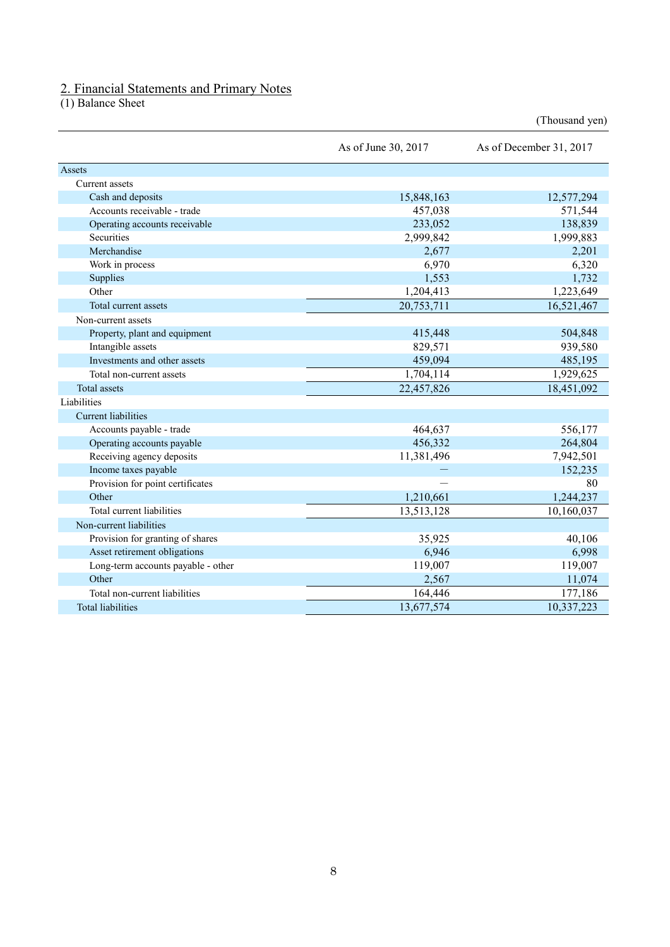### 2. Financial Statements and Primary Notes

(1) Balance Sheet

|                                    | As of June 30, 2017 | As of December 31, 2017 |
|------------------------------------|---------------------|-------------------------|
| Assets                             |                     |                         |
| Current assets                     |                     |                         |
| Cash and deposits                  | 15,848,163          | 12,577,294              |
| Accounts receivable - trade        | 457,038             | 571,544                 |
| Operating accounts receivable      | 233,052             | 138,839                 |
| Securities                         | 2,999,842           | 1,999,883               |
| Merchandise                        | 2,677               | 2,201                   |
| Work in process                    | 6,970               | 6,320                   |
| Supplies                           | 1,553               | 1,732                   |
| Other                              | 1,204,413           | 1,223,649               |
| Total current assets               | 20,753,711          | 16,521,467              |
| Non-current assets                 |                     |                         |
| Property, plant and equipment      | 415,448             | 504,848                 |
| Intangible assets                  | 829,571             | 939,580                 |
| Investments and other assets       | 459,094             | 485,195                 |
| Total non-current assets           | 1,704,114           | 1,929,625               |
| <b>Total assets</b>                | 22,457,826          | 18,451,092              |
| Liabilities                        |                     |                         |
| <b>Current liabilities</b>         |                     |                         |
| Accounts payable - trade           | 464,637             | 556,177                 |
| Operating accounts payable         | 456,332             | 264,804                 |
| Receiving agency deposits          | 11,381,496          | 7,942,501               |
| Income taxes payable               |                     | 152,235                 |
| Provision for point certificates   |                     | 80                      |
| Other                              | 1,210,661           | 1,244,237               |
| Total current liabilities          | 13,513,128          | 10,160,037              |
| Non-current liabilities            |                     |                         |
| Provision for granting of shares   | 35,925              | 40,106                  |
| Asset retirement obligations       | 6,946               | 6,998                   |
| Long-term accounts payable - other | 119,007             | 119,007                 |
| Other                              | 2,567               | 11,074                  |
| Total non-current liabilities      | 164,446             | 177,186                 |
| <b>Total liabilities</b>           | 13,677,574          | 10,337,223              |

(Thousand yen)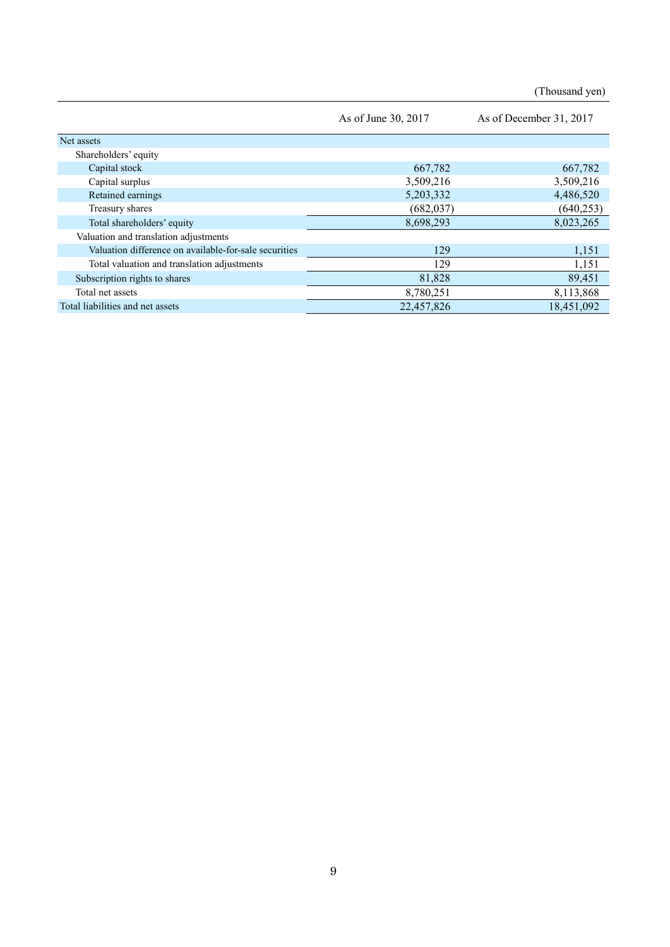(Thousand yen)

|                                                       | As of June 30, 2017 | As of December 31, 2017 |
|-------------------------------------------------------|---------------------|-------------------------|
| Net assets                                            |                     |                         |
| Shareholders' equity                                  |                     |                         |
| Capital stock                                         | 667,782             | 667,782                 |
| Capital surplus                                       | 3,509,216           | 3,509,216               |
| Retained earnings                                     | 5,203,332           | 4,486,520               |
| Treasury shares                                       | (682, 037)          | (640, 253)              |
| Total shareholders' equity                            | 8,698,293           | 8,023,265               |
| Valuation and translation adjustments                 |                     |                         |
| Valuation difference on available-for-sale securities | 129                 | 1,151                   |
| Total valuation and translation adjustments           | 129                 | 1,151                   |
| Subscription rights to shares                         | 81,828              | 89,451                  |
| Total net assets                                      | 8,780,251           | 8,113,868               |
| Total liabilities and net assets                      | 22,457,826          | 18,451,092              |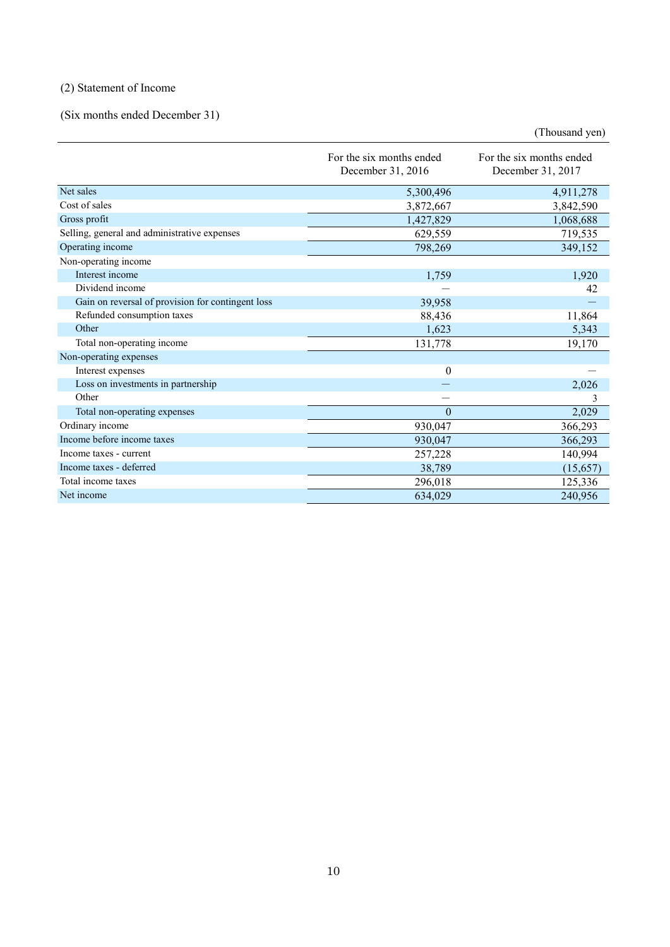# (2) Statement of Income

# (Six months ended December 31)

(Thousand yen)

|                                                   | For the six months ended<br>December 31, 2016 | For the six months ended<br>December 31, 2017 |
|---------------------------------------------------|-----------------------------------------------|-----------------------------------------------|
| Net sales                                         | 5,300,496                                     | 4,911,278                                     |
| Cost of sales                                     | 3,872,667                                     | 3,842,590                                     |
| Gross profit                                      | 1,427,829                                     | 1,068,688                                     |
| Selling, general and administrative expenses      | 629,559                                       | 719,535                                       |
| Operating income                                  | 798,269                                       | 349,152                                       |
| Non-operating income                              |                                               |                                               |
| Interest income                                   | 1,759                                         | 1,920                                         |
| Dividend income                                   |                                               | 42                                            |
| Gain on reversal of provision for contingent loss | 39,958                                        |                                               |
| Refunded consumption taxes                        | 88,436                                        | 11,864                                        |
| Other                                             | 1,623                                         | 5,343                                         |
| Total non-operating income                        | 131,778                                       | 19,170                                        |
| Non-operating expenses                            |                                               |                                               |
| Interest expenses                                 | $\theta$                                      |                                               |
| Loss on investments in partnership                |                                               | 2,026                                         |
| Other                                             |                                               |                                               |
| Total non-operating expenses                      | $\theta$                                      | 2,029                                         |
| Ordinary income                                   | 930,047                                       | 366,293                                       |
| Income before income taxes                        | 930,047                                       | 366,293                                       |
| Income taxes - current                            | 257,228                                       | 140,994                                       |
| Income taxes - deferred                           | 38,789                                        | (15,657)                                      |
| Total income taxes                                | 296,018                                       | 125,336                                       |
| Net income                                        | 634,029                                       | 240,956                                       |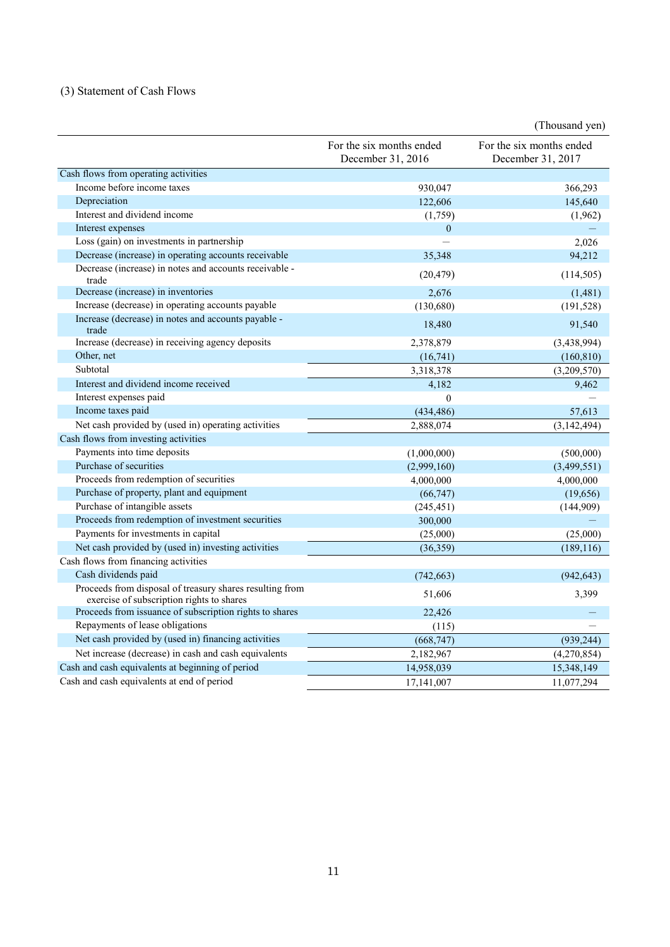# (3) Statement of Cash Flows

|                                                                                                       |                                               | (Thousand yen)                                |
|-------------------------------------------------------------------------------------------------------|-----------------------------------------------|-----------------------------------------------|
|                                                                                                       | For the six months ended<br>December 31, 2016 | For the six months ended<br>December 31, 2017 |
| Cash flows from operating activities                                                                  |                                               |                                               |
| Income before income taxes                                                                            | 930,047                                       | 366,293                                       |
| Depreciation                                                                                          | 122,606                                       | 145,640                                       |
| Interest and dividend income                                                                          | (1,759)                                       | (1,962)                                       |
| Interest expenses                                                                                     | $\overline{0}$                                |                                               |
| Loss (gain) on investments in partnership                                                             |                                               | 2,026                                         |
| Decrease (increase) in operating accounts receivable                                                  | 35,348                                        | 94,212                                        |
| Decrease (increase) in notes and accounts receivable -<br>trade                                       | (20, 479)                                     | (114, 505)                                    |
| Decrease (increase) in inventories                                                                    | 2,676                                         | (1, 481)                                      |
| Increase (decrease) in operating accounts payable                                                     | (130, 680)                                    | (191, 528)                                    |
| Increase (decrease) in notes and accounts payable -<br>trade                                          | 18,480                                        | 91,540                                        |
| Increase (decrease) in receiving agency deposits                                                      | 2,378,879                                     | (3,438,994)                                   |
| Other, net                                                                                            | (16,741)                                      | (160, 810)                                    |
| Subtotal                                                                                              | 3,318,378                                     | (3,209,570)                                   |
| Interest and dividend income received                                                                 | 4,182                                         | 9,462                                         |
| Interest expenses paid                                                                                | $\theta$                                      |                                               |
| Income taxes paid                                                                                     | (434, 486)                                    | 57,613                                        |
| Net cash provided by (used in) operating activities                                                   | 2.888.074                                     | (3, 142, 494)                                 |
| Cash flows from investing activities                                                                  |                                               |                                               |
| Payments into time deposits                                                                           | (1,000,000)                                   | (500,000)                                     |
| Purchase of securities                                                                                | (2,999,160)                                   | (3,499,551)                                   |
| Proceeds from redemption of securities                                                                | 4,000,000                                     | 4,000,000                                     |
| Purchase of property, plant and equipment                                                             | (66,747)                                      | (19,656)                                      |
| Purchase of intangible assets                                                                         | (245, 451)                                    | (144,909)                                     |
| Proceeds from redemption of investment securities                                                     | 300,000                                       |                                               |
| Payments for investments in capital                                                                   | (25,000)                                      | (25,000)                                      |
| Net cash provided by (used in) investing activities                                                   | (36, 359)                                     | (189, 116)                                    |
| Cash flows from financing activities                                                                  |                                               |                                               |
| Cash dividends paid                                                                                   | (742, 663)                                    | (942, 643)                                    |
| Proceeds from disposal of treasury shares resulting from<br>exercise of subscription rights to shares | 51,606                                        | 3,399                                         |
| Proceeds from issuance of subscription rights to shares                                               | 22,426                                        |                                               |
| Repayments of lease obligations                                                                       | (115)                                         |                                               |
| Net cash provided by (used in) financing activities                                                   | (668, 747)                                    | (939, 244)                                    |
| Net increase (decrease) in cash and cash equivalents                                                  | 2,182,967                                     | (4,270,854)                                   |
| Cash and cash equivalents at beginning of period                                                      | 14,958,039                                    | 15,348,149                                    |
| Cash and cash equivalents at end of period                                                            | 17, 141, 007                                  | 11,077,294                                    |